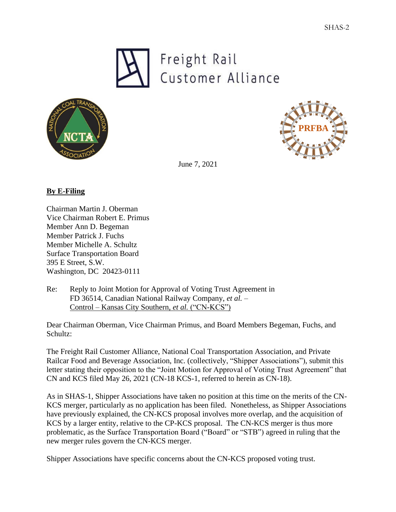





June 7, 2021

## **By E-Filing**

Chairman Martin J. Oberman Vice Chairman Robert E. Primus Member Ann D. Begeman Member Patrick J. Fuchs Member Michelle A. Schultz Surface Transportation Board 395 E Street, S.W. Washington, DC 20423-0111

Re: Reply to Joint Motion for Approval of Voting Trust Agreement in FD 36514, Canadian National Railway Company, *et al.* – Control – Kansas City Southern, *et al.* ("CN-KCS")

Dear Chairman Oberman, Vice Chairman Primus, and Board Members Begeman, Fuchs, and Schultz:

The Freight Rail Customer Alliance, National Coal Transportation Association, and Private Railcar Food and Beverage Association, Inc. (collectively, "Shipper Associations"), submit this letter stating their opposition to the "Joint Motion for Approval of Voting Trust Agreement" that CN and KCS filed May 26, 2021 (CN-18 KCS-1, referred to herein as CN-18).

As in SHAS-1, Shipper Associations have taken no position at this time on the merits of the CN-KCS merger, particularly as no application has been filed. Nonetheless, as Shipper Associations have previously explained, the CN-KCS proposal involves more overlap, and the acquisition of KCS by a larger entity, relative to the CP-KCS proposal. The CN-KCS merger is thus more problematic, as the Surface Transportation Board ("Board" or "STB") agreed in ruling that the new merger rules govern the CN-KCS merger.

Shipper Associations have specific concerns about the CN-KCS proposed voting trust.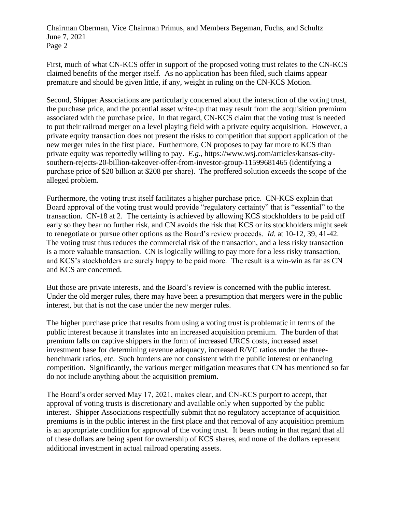Chairman Oberman, Vice Chairman Primus, and Members Begeman, Fuchs, and Schultz June 7, 2021 Page 2

First, much of what CN-KCS offer in support of the proposed voting trust relates to the CN-KCS claimed benefits of the merger itself. As no application has been filed, such claims appear premature and should be given little, if any, weight in ruling on the CN-KCS Motion.

Second, Shipper Associations are particularly concerned about the interaction of the voting trust, the purchase price, and the potential asset write-up that may result from the acquisition premium associated with the purchase price. In that regard, CN-KCS claim that the voting trust is needed to put their railroad merger on a level playing field with a private equity acquisition. However, a private equity transaction does not present the risks to competition that support application of the new merger rules in the first place. Furthermore, CN proposes to pay far more to KCS than private equity was reportedly willing to pay. *E.g.,* https://www.wsj.com/articles/kansas-citysouthern-rejects-20-billion-takeover-offer-from-investor-group-11599681465 (identifying a purchase price of \$20 billion at \$208 per share). The proffered solution exceeds the scope of the alleged problem.

Furthermore, the voting trust itself facilitates a higher purchase price. CN-KCS explain that Board approval of the voting trust would provide "regulatory certainty" that is "essential" to the transaction. CN-18 at 2. The certainty is achieved by allowing KCS stockholders to be paid off early so they bear no further risk, and CN avoids the risk that KCS or its stockholders might seek to renegotiate or pursue other options as the Board's review proceeds. *Id.* at 10-12, 39, 41-42. The voting trust thus reduces the commercial risk of the transaction, and a less risky transaction is a more valuable transaction. CN is logically willing to pay more for a less risky transaction, and KCS's stockholders are surely happy to be paid more. The result is a win-win as far as CN and KCS are concerned.

But those are private interests, and the Board's review is concerned with the public interest. Under the old merger rules, there may have been a presumption that mergers were in the public interest, but that is not the case under the new merger rules.

The higher purchase price that results from using a voting trust is problematic in terms of the public interest because it translates into an increased acquisition premium. The burden of that premium falls on captive shippers in the form of increased URCS costs, increased asset investment base for determining revenue adequacy, increased R/VC ratios under the threebenchmark ratios, etc. Such burdens are not consistent with the public interest or enhancing competition. Significantly, the various merger mitigation measures that CN has mentioned so far do not include anything about the acquisition premium.

The Board's order served May 17, 2021, makes clear, and CN-KCS purport to accept, that approval of voting trusts is discretionary and available only when supported by the public interest. Shipper Associations respectfully submit that no regulatory acceptance of acquisition premiums is in the public interest in the first place and that removal of any acquisition premium is an appropriate condition for approval of the voting trust. It bears noting in that regard that all of these dollars are being spent for ownership of KCS shares, and none of the dollars represent additional investment in actual railroad operating assets.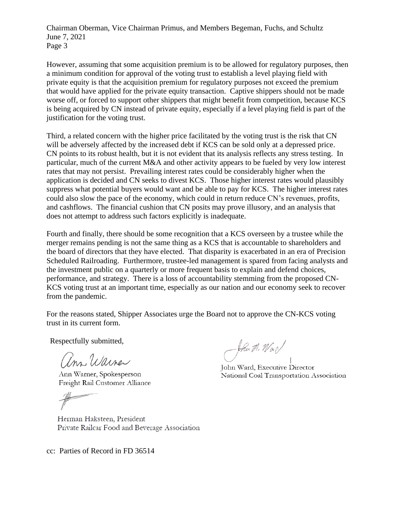Chairman Oberman, Vice Chairman Primus, and Members Begeman, Fuchs, and Schultz June 7, 2021 Page 3

However, assuming that some acquisition premium is to be allowed for regulatory purposes, then a minimum condition for approval of the voting trust to establish a level playing field with private equity is that the acquisition premium for regulatory purposes not exceed the premium that would have applied for the private equity transaction. Captive shippers should not be made worse off, or forced to support other shippers that might benefit from competition, because KCS is being acquired by CN instead of private equity, especially if a level playing field is part of the justification for the voting trust.

Third, a related concern with the higher price facilitated by the voting trust is the risk that CN will be adversely affected by the increased debt if KCS can be sold only at a depressed price. CN points to its robust health, but it is not evident that its analysis reflects any stress testing. In particular, much of the current M&A and other activity appears to be fueled by very low interest rates that may not persist. Prevailing interest rates could be considerably higher when the application is decided and CN seeks to divest KCS. Those higher interest rates would plausibly suppress what potential buyers would want and be able to pay for KCS. The higher interest rates could also slow the pace of the economy, which could in return reduce CN's revenues, profits, and cashflows. The financial cushion that CN posits may prove illusory, and an analysis that does not attempt to address such factors explicitly is inadequate.

Fourth and finally, there should be some recognition that a KCS overseen by a trustee while the merger remains pending is not the same thing as a KCS that is accountable to shareholders and the board of directors that they have elected. That disparity is exacerbated in an era of Precision Scheduled Railroading. Furthermore, trustee-led management is spared from facing analysts and the investment public on a quarterly or more frequent basis to explain and defend choices, performance, and strategy. There is a loss of accountability stemming from the proposed CN-KCS voting trust at an important time, especially as our nation and our economy seek to recover from the pandemic.

For the reasons stated, Shipper Associates urge the Board not to approve the CN-KCS voting trust in its current form.

Respectfully submitted,

am Warner

Ann Warner, Spokesperson Freight Rail Customer Alliance

Herman Haksteen, President Private Railcar Food and Beverage Association

John M. War

John Ward, Executive Director National Coal Transportation Association

cc: Parties of Record in FD 36514